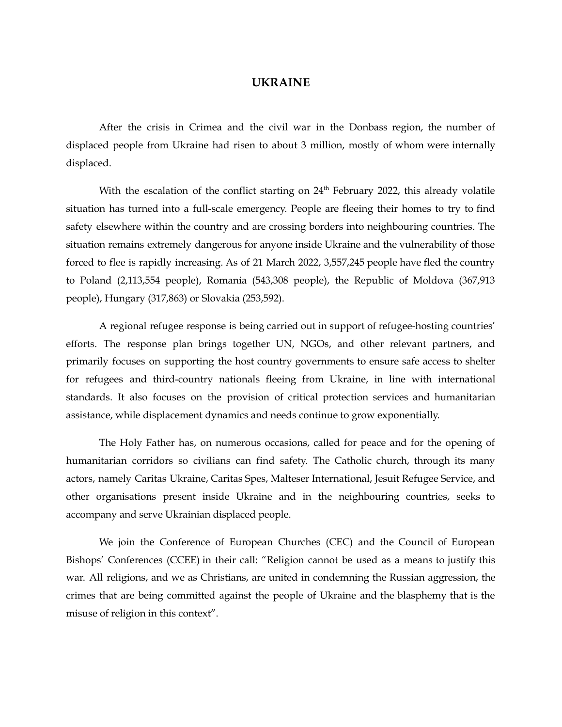## **UKRAINE**

After the crisis in Crimea and the civil war in the Donbass region, the number of displaced people from Ukraine had risen to about 3 million, mostly of whom were internally displaced.

With the escalation of the conflict starting on  $24<sup>th</sup>$  February 2022, this already volatile situation has turned into a full-scale emergency. People are fleeing their homes to try to find safety elsewhere within the country and are crossing borders into neighbouring countries. The situation remains extremely dangerous for anyone inside Ukraine and the vulnerability of those forced to flee is rapidly increasing. As of 21 March 2022, 3,557,245 people have fled the country to Poland (2,113,554 people), Romania (543,308 people), the Republic of Moldova (367,913 people), Hungary (317,863) or Slovakia (253,592).

A regional refugee response is being carried out in support of refugee-hosting countries' efforts. The response plan brings together UN, NGOs, and other relevant partners, and primarily focuses on supporting the host country governments to ensure safe access to shelter for refugees and third-country nationals fleeing from Ukraine, in line with international standards. It also focuses on the provision of critical protection services and humanitarian assistance, while displacement dynamics and needs continue to grow exponentially.

The Holy Father has, on numerous occasions, called for peace and for the opening of humanitarian corridors so civilians can find safety. The Catholic church, through its many actors, namely Caritas Ukraine, Caritas Spes, Malteser International, Jesuit Refugee Service, and other organisations present inside Ukraine and in the neighbouring countries, seeks to accompany and serve Ukrainian displaced people.

We join the Conference of European Churches (CEC) and the Council of European Bishops' Conferences (CCEE) in their call: "Religion cannot be used as a means to justify this war. All religions, and we as Christians, are united in condemning the Russian aggression, the crimes that are being committed against the people of Ukraine and the blasphemy that is the misuse of religion in this context".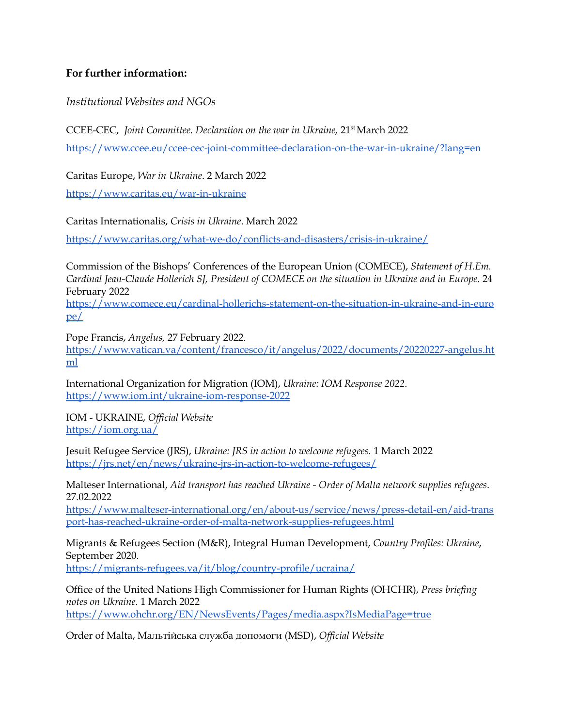## **For further information:**

*Institutional Websites and NGOs*

CCEE-CEC, Joint Committee. Declaration on the war in Ukraine, 21<sup>st</sup> March 2022

<https://www.ccee.eu/ccee-cec-joint-committee-declaration-on-the-war-in-ukraine/?lang=en>

Caritas Europe, *War in Ukraine*. 2 March 2022

<https://www.caritas.eu/war-in-ukraine>

Caritas Internationalis, *Crisis in Ukraine*. March 2022

<https://www.caritas.org/what-we-do/conflicts-and-disasters/crisis-in-ukraine/>

Commission of the Bishops' Conferences of the European Union (COMECE), *Statement of H.Em. Cardinal Jean-Claude Hollerich SJ, President of COMECE on the situation in Ukraine and in Europe.* 24 February 2022

[https://www.comece.eu/cardinal-hollerichs-statement-on-the-situation-in-ukraine-and-in-euro](https://www.comece.eu/cardinal-hollerichs-statement-on-the-situation-in-ukraine-and-in-europe/) [pe/](https://www.comece.eu/cardinal-hollerichs-statement-on-the-situation-in-ukraine-and-in-europe/)

Pope Francis, *Angelus,* 27 February 2022.

[https://www.vatican.va/content/francesco/it/angelus/2022/documents/20220227-angelus.ht](https://www.vatican.va/content/francesco/it/angelus/2022/documents/20220227-angelus.html) [ml](https://www.vatican.va/content/francesco/it/angelus/2022/documents/20220227-angelus.html)

International Organization for Migration (IOM), *Ukraine: IOM Response 2022*. <https://www.iom.int/ukraine-iom-response-2022>

IOM - UKRAINE, *Of icial Website* <https://iom.org.ua/>

Jesuit Refugee Service (JRS), *Ukraine: JRS in action to welcome refugees.* 1 March 2022 <https://jrs.net/en/news/ukraine-jrs-in-action-to-welcome-refugees/>

Malteser International, *Aid transport has reached Ukraine - Order of Malta network supplies refugees*. 27.02.2022

[https://www.malteser-international.org/en/about-us/service/news/press-detail-en/aid-trans](https://www.malteser-international.org/en/about-us/service/news/press-detail-en/aid-transport-has-reached-ukraine-order-of-malta-network-supplies-refugees.html) [port-has-reached-ukraine-order-of-malta-network-supplies-refugees.html](https://www.malteser-international.org/en/about-us/service/news/press-detail-en/aid-transport-has-reached-ukraine-order-of-malta-network-supplies-refugees.html)

Migrants & Refugees Section (M&R), Integral Human Development, *Country Profiles: Ukraine*, September 2020.

<https://migrants-refugees.va/it/blog/country-profile/ucraina/>

Office of the United Nations High Commissioner for Human Rights (OHCHR), *Press briefing notes on Ukraine.* 1 March 2022 <https://www.ohchr.org/EN/NewsEvents/Pages/media.aspx?IsMediaPage=true>

Order of Malta, Мальтійська служба допомоги (MSD), *Of icial Website*